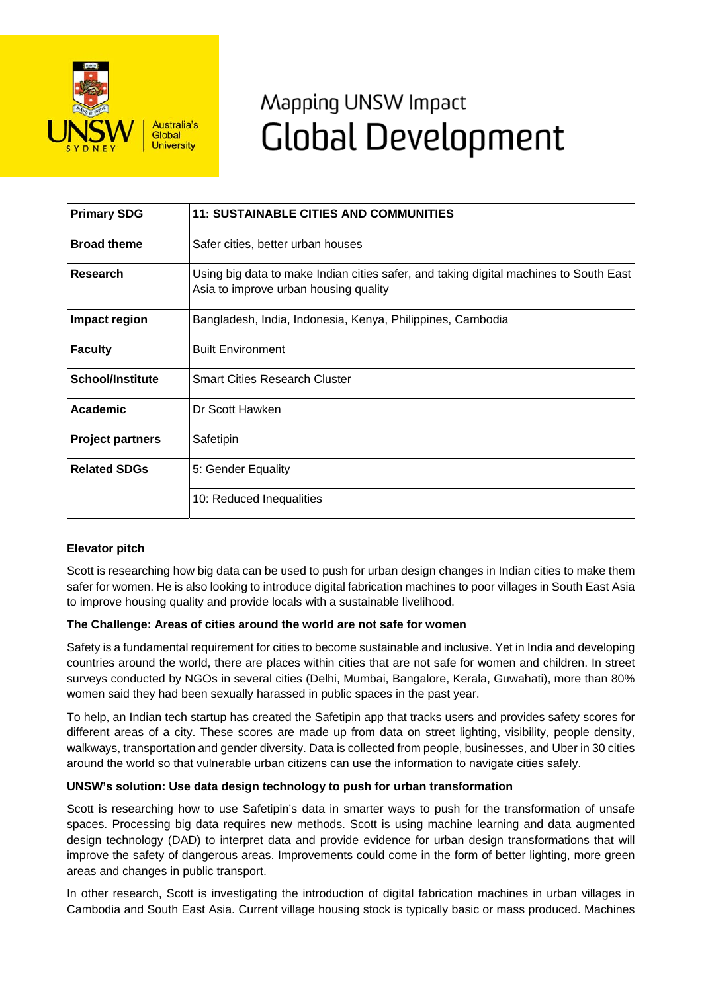

# Mapping UNSW Impact **Global Development**

| <b>Primary SDG</b>      | <b>11: SUSTAINABLE CITIES AND COMMUNITIES</b>                                                                                  |
|-------------------------|--------------------------------------------------------------------------------------------------------------------------------|
| <b>Broad theme</b>      | Safer cities, better urban houses                                                                                              |
| Research                | Using big data to make Indian cities safer, and taking digital machines to South East<br>Asia to improve urban housing quality |
| Impact region           | Bangladesh, India, Indonesia, Kenya, Philippines, Cambodia                                                                     |
| <b>Faculty</b>          | <b>Built Environment</b>                                                                                                       |
| <b>School/Institute</b> | <b>Smart Cities Research Cluster</b>                                                                                           |
| Academic                | Dr Scott Hawken                                                                                                                |
| <b>Project partners</b> | Safetipin                                                                                                                      |
| <b>Related SDGs</b>     | 5: Gender Equality                                                                                                             |
|                         | 10: Reduced Inequalities                                                                                                       |

# **Elevator pitch**

Scott is researching how big data can be used to push for urban design changes in Indian cities to make them safer for women. He is also looking to introduce digital fabrication machines to poor villages in South East Asia to improve housing quality and provide locals with a sustainable livelihood.

# **The Challenge: Areas of cities around the world are not safe for women**

Safety is a fundamental requirement for cities to become sustainable and inclusive. Yet in India and developing countries around the world, there are places within cities that are not safe for women and children. In street surveys conducted by NGOs in several cities (Delhi, Mumbai, Bangalore, Kerala, Guwahati), more than 80% women said they had been sexually harassed in public spaces in the past year.

To help, an Indian tech startup has created the Safetipin app that tracks users and provides safety scores for different areas of a city. These scores are made up from data on street lighting, visibility, people density, walkways, transportation and gender diversity. Data is collected from people, businesses, and Uber in 30 cities around the world so that vulnerable urban citizens can use the information to navigate cities safely.

# **UNSW's solution: Use data design technology to push for urban transformation**

Scott is researching how to use Safetipin's data in smarter ways to push for the transformation of unsafe spaces. Processing big data requires new methods. Scott is using machine learning and data augmented design technology (DAD) to interpret data and provide evidence for urban design transformations that will improve the safety of dangerous areas. Improvements could come in the form of better lighting, more green areas and changes in public transport.

In other research, Scott is investigating the introduction of digital fabrication machines in urban villages in Cambodia and South East Asia. Current village housing stock is typically basic or mass produced. Machines